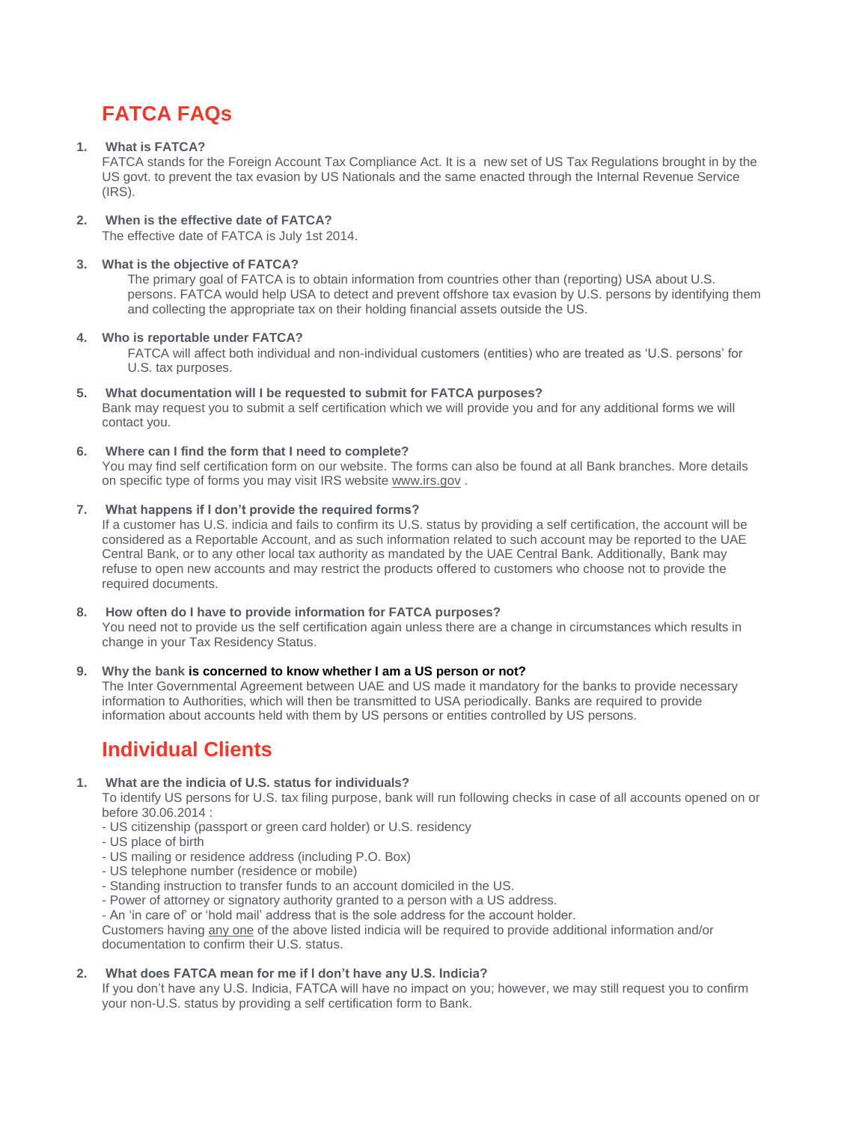# **FATCA FAQs**

#### **1. What is FATCA?**

FATCA stands for the Foreign Account Tax Compliance Act. It is a new set of US Tax Regulations brought in by the US govt. to prevent the tax evasion by US Nationals and the same enacted through the Internal Revenue Service (IRS).

#### **2. When is the effective date of FATCA?**

The effective date of FATCA is July 1st 2014.

#### **3. What is the objective of FATCA?**

The primary goal of FATCA is to obtain information from countries other than (reporting) USA about U.S. persons. FATCA would help USA to detect and prevent offshore tax evasion by U.S. persons by identifying them and collecting the appropriate tax on their holding financial assets outside the US.

#### **4. Who is reportable under FATCA?**

FATCA will affect both individual and non-individual customers (entities) who are treated as 'U.S. persons' for U.S. tax purposes.

#### **5. What documentation will I be requested to submit for FATCA purposes?**

Bank may request you to submit a self certification which we will provide you and for any additional forms we will contact you.

#### **6. Where can I find the form that I need to complete?**

You may find self certification form on our website. The forms can also be found at all Bank branches. More details on specific type of forms you may visit IRS website [www.irs.gov](http://www.irs.gov/) .

#### **7. What happens if I don't provide the required forms?**

If a customer has U.S. indicia and fails to confirm its U.S. status by providing a self certification, the account will be considered as a Reportable Account, and as such information related to such account may be reported to the UAE Central Bank, or to any other local tax authority as mandated by the UAE Central Bank. Additionally, Bank may refuse to open new accounts and may restrict the products offered to customers who choose not to provide the required documents.

#### **8. How often do I have to provide information for FATCA purposes?**

You need not to provide us the self certification again unless there are a change in circumstances which results in change in your Tax Residency Status.

#### **9. Why the bank is concerned to know whether I am a US person or not?**

The Inter Governmental Agreement between UAE and US made it mandatory for the banks to provide necessary information to Authorities, which will then be transmitted to USA periodically. Banks are required to provide information about accounts held with them by US persons or entities controlled by US persons.

## **Individual Clients**

#### **1. What are the indicia of U.S. status for individuals?**

To identify US persons for U.S. tax filing purpose, bank will run following checks in case of all accounts opened on or before 30.06.2014 :

- US citizenship (passport or green card holder) or U.S. residency
- US place of birth
- US mailing or residence address (including P.O. Box)
- US telephone number (residence or mobile)
- Standing instruction to transfer funds to an account domiciled in the US.
- Power of attorney or signatory authority granted to a person with a US address.

- An 'in care of' or 'hold mail' address that is the sole address for the account holder.

Customers having any one of the above listed indicia will be required to provide additional information and/or documentation to confirm their U.S. status.

#### **2. What does FATCA mean for me if I don't have any U.S. Indicia?**

If you don't have any U.S. Indicia, FATCA will have no impact on you; however, we may still request you to confirm your non-U.S. status by providing a self certification form to Bank.